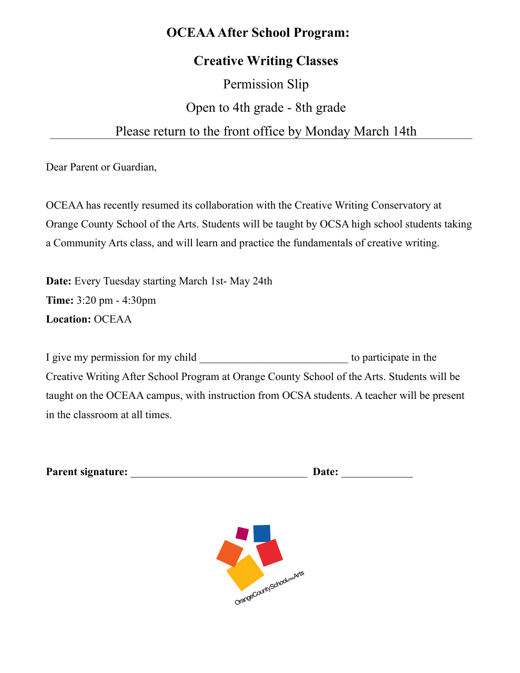### **OCEAA After School Program:**

### **Creative Writing Classes**

# Permission Slip Open to 4th grade - 8th grade

### Please return to the front office by Monday March 14th

Dear Parent or Guardian,

OCEAA has recently resumed its collaboration with the Creative Writing Conservatory at Orange County School of the Arts. Students will be taught by OCSA high school students taking a Community Arts class, and will learn and practice the fundamentals of creative writing.

**Date:** Every Tuesday starting March 1st- May 24th **Time:** 3:20 pm - 4:30pm **Location:** OCEAA

I give my permission for my child \_\_\_\_\_\_\_\_\_\_\_\_\_\_\_\_\_\_\_\_\_\_\_\_\_\_\_ to participate in the Creative Writing After School Program at Orange County School of the Arts. Students will be taught on the OCEAA campus, with instruction from OCSA students. A teacher will be present in the classroom at all times.

| Parent signature: | Date: |  |
|-------------------|-------|--|
|                   |       |  |